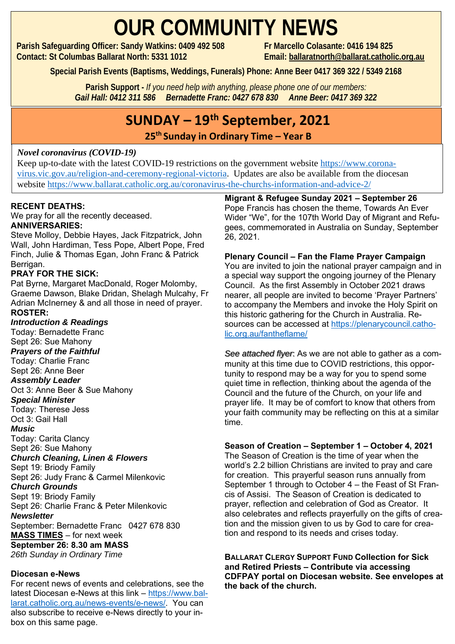## **OUR COMMUNITY NEWS**

**Parish Safeguarding Officer: Sandy Watkins: 0409 492 508 Fr Marcello Colasante: 0416 194 825 Contact: St Columbas Ballarat North: 5331 1012 Email: [ballaratnorth@ballarat.catholic.org.au](mailto:ballaratnorth@ballarat.catholic.org.au)**

**Special Parish Events (Baptisms, Weddings, Funerals) Phone: Anne Beer 0417 369 322 / 5349 2168**

**Parish Support -** *If you need help with anything, please phone one of our members: Gail Hall: 0412 311 586 Bernadette Franc: 0427 678 830 Anne Beer: 0417 369 322*

### **SUNDAY – 19 th September, 2021**

**25 th Sunday in Ordinary Time – Year B** 

#### *Novel coronavirus (COVID-19)*

Keep up-to-date with the latest COVID-19 restrictions on the government website [https://www.corona](https://www.coronavirus.vic.gov.au/religion-and-ceremony-regional-victoria)[virus.vic.gov.au/religion-and-ceremony-regional-victoria.](https://www.coronavirus.vic.gov.au/religion-and-ceremony-regional-victoria) Updates are also be available from the diocesan website <https://www.ballarat.catholic.org.au/coronavirus-the-churchs-information-and-advice-2/>

#### **RECENT DEATHS:**

We pray for all the recently deceased.

#### **ANNIVERSARIES:**

Steve Molloy, Debbie Hayes, Jack Fitzpatrick, John Wall, John Hardiman, Tess Pope, Albert Pope, Fred Finch, Julie & Thomas Egan, John Franc & Patrick Berrigan.

#### **PRAY FOR THE SICK:**

Pat Byrne, Margaret MacDonald, Roger Molomby, Graeme Dawson, Blake Dridan, Shelagh Mulcahy, Fr Adrian McInerney & and all those in need of prayer. **ROSTER:**

#### *Introduction & Readings*

Today: Bernadette Franc Sept 26: Sue Mahony *Prayers of the Faithful*  Today: Charlie Franc Sept 26: Anne Beer *Assembly Leader* Oct 3: Anne Beer & Sue Mahony *Special Minister* Today: Therese Jess Oct 3: Gail Hall *Music* Today: Carita Clancy Sept 26: Sue Mahony *Church Cleaning, Linen & Flowers* Sept 19: Briody Family Sept 26: Judy Franc & Carmel Milenkovic *Church Grounds* Sept 19: Briody Family Sept 26: Charlie Franc & Peter Milenkovic *Newsletter* September: Bernadette Franc 0427 678 830 **MASS TIMES** – for next week

**September 26: 8.30 am MASS**

*26th Sunday in Ordinary Time*

#### **Diocesan e-News**

For recent news of events and celebrations, see the latest Diocesan e-News at this link – [https://www.bal](https://www.ballarat.catholic.org.au/news-events/e-news/)[larat.catholic.org.au/news-events/e-news/.](https://www.ballarat.catholic.org.au/news-events/e-news/) You can also subscribe to receive e-News directly to your inbox on this same page.

**Migrant & Refugee Sunday 2021 – September 26** Pope Francis has chosen the theme, Towards An Ever

Wider "We", for the 107th World Day of Migrant and Refugees, commemorated in Australia on Sunday, September 26, 2021.

**Plenary Council – Fan the Flame Prayer Campaign** You are invited to join the national prayer campaign and in a special way support the ongoing journey of the Plenary Council. As the first Assembly in October 2021 draws nearer, all people are invited to become 'Prayer Partners' to accompany the Members and invoke the Holy Spirit on this historic gathering for the Church in Australia. Resources can be accessed at [https://plenarycouncil.catho](https://plenarycouncil.catholic.org.au/fantheflame/)[lic.org.au/fantheflame/](https://plenarycouncil.catholic.org.au/fantheflame/)

*See attached flyer*: As we are not able to gather as a community at this time due to COVID restrictions, this opportunity to respond may be a way for you to spend some quiet time in reflection, thinking about the agenda of the Council and the future of the Church, on your life and prayer life. It may be of comfort to know that others from your faith community may be reflecting on this at a similar time.

#### **Season of Creation – September 1 – October 4, 2021**

The Season of Creation is the time of year when the world's 2.2 billion Christians are invited to pray and care for creation. This prayerful season runs annually from September 1 through to October 4 – the Feast of St Francis of Assisi. The Season of Creation is dedicated to prayer, reflection and celebration of God as Creator. It also celebrates and reflects prayerfully on the gifts of creation and the mission given to us by God to care for creation and respond to its needs and crises today.

**BALLARAT CLERGY SUPPORT FUND Collection for Sick and Retired Priests – Contribute via accessing CDFPAY portal on Diocesan website. See envelopes at the back of the church.**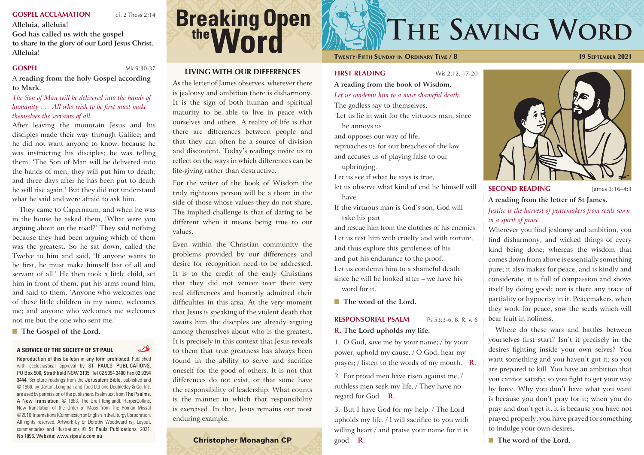#### **A SERVICE OF THE SOCIETY OF ST PAUL**

Reproduction of this bulletin in any form prohibited. Published with ecclesiastical approval by ST PAULS PUBLICATIONS, PO Box 906, Strathfield NSW 2135. Tel 02 9394 3400 Fax 02 9394 3444. Scripture readings from the Jerusalem Bible, published and © 1966, by Darton, Longman and Todd Ltd and Doubleday & Co. Inc. are used by permission of the publishers. Psalm text from The Psalms, A New Translation, © 1963, The Grail (England), HarperCollins. New translation of the Order of Mass from The Roman Missal © 2010, International Commission on English in the Liturgy Corporation. All rights reserved. Artwork by Sr Dorothy Woodward rsj. Layout, commentaries and illustrations © St Pauls Publications, 2021. No 1896. Website: www.stpauls.com.au Christopher Monaghan CP

# **Breaking Open**

#### **SECOND READING** James 3:16-4:3 **A reading from the letter of St James.**

**A reading from the book of Wisdom.** *Let us condemn him to a most shameful death.* The godless say to themselves, 'Let us lie in wait for the virtuous man, since he annoys us and opposes our way of life, reproaches us for our breaches of the law and accuses us of playing false to our upbringing. Let us see if what he says is true, let us observe what kind of end he himself will have. If the virtuous man is God's son, God will take his part and rescue him from the clutches of his enemies. Let us test him with cruelty and with torture, and thus explore this gentleness of his and put his endurance to the proof. Let us condemn him to a shameful death since he will be looked after – we have his word for it.

■ The word of the Lord.

#### **RESPONSORIAL PSALM** Ps 53:3-6, 8. R. v. 6

**R. The Lord upholds my life.**

1. O God, save me by your name; / by your power, uphold my cause. / O God, hear my prayer; / listen to the words of my mouth. **R.**

2. For proud men have risen against me, / ruthless men seek my life. / They have no regard for God. **R.**

3. But I have God for my help. / The Lord upholds my life. / I will sacrifice to you with willing heart / and praise your name for it is good. **R.**

# THE SAVING WORD



*Justice is the harvest of peacemakers from seeds sown in a spirit of peace.*

Wherever you find jealousy and ambition, you find disharmony, and wicked things of every kind being done; whereas the wisdom that comes down from above is essentially something pure; it also makes for peace, and is kindly and considerate; it is full of compassion and shows itself by doing good; nor is there any trace of partiality or hypocrisy in it. Peacemakers, when they work for peace, sow the seeds which will bear fruit in holiness.

Where do these wars and battles between yourselves first start? Isn't it precisely in the desires fighting inside your own selves? You want something and you haven't got it; so you are prepared to kill. You have an ambition that you cannot satisfy; so you fight to get your way by force. Why you don't have what you want is because you don't pray for it; when you do pray and don't get it, it is because you have not prayed properly, you have prayed for something to indulge your own desires.

■ The word of the Lord.

#### **GOSPEL ACCLAMATION** cf. 2 Thess 2:14

**Alleluia, alleluia!**

**God has called us with the gospel to share in the glory of our Lord Jesus Christ. Alleluia!**

**GOSPEL** Mk 9:30-37

 $\overline{\mathscr{L}}$ 

A **reading from the holy Gospel according to Mark.**

#### *The Son of Man will be delivered into the hands of humanity . . . All who wish to be first must make themselves the servants of all.*

After leaving the mountain Jesus and his disciples made their way through Galilee; and he did not want anyone to know, because he was instructing his disciples; he was telling them, 'The Son of Man will be delivered into the hands of men; they will put him to death; and three days after he has been put to death he will rise again.' But they did not understand what he said and were afraid to ask him.

They came to Capernaum, and when he was in the house he asked them, 'What were you arguing about on the road?' They said nothing because they had been arguing which of them was the greatest. So he sat down, called the Twelve to him and said, 'If anyone wants to be first, he must make himself last of all and servant of all.' He then took a little child, set him in front of them, put his arms round him, and said to them, 'Anyone who welcomes one of these little children in my name, welcomes me; and anyone who welcomes me welcomes not me but the one who sent me.'

#### ■ **The Gospel of the Lord.**

#### **LIVING WITH OUR DIFFERENCES**

As the letter of James observes, wherever there is jealousy and ambition there is disharmony. It is the sign of both human and spiritual maturity to be able to live in peace with ourselves and others. A reality of life is that there are differences between people and that they can often be a source of division and discontent. Today's readings invite us to reflect on the ways in which differences can be life-giving rather than destructive.

For the writer of the book of Wisdom the truly righteous person will be a thorn in the side of those whose values they do not share. The implied challenge is that of daring to be different when it means being true to our values.

Even within the Christian community the problems provided by our differences and desire for recognition need to be addressed. It is to the credit of the early Christians that they did not veneer over their very real differences and honestly admitted their difficulties in this area. At the very moment that Jesus is speaking of the violent death that awaits him the disciples are already arguing among themselves about who is the greatest. It is precisely in this context that Jesus reveals to them that true greatness has always been found in the ability to serve and sacrifice oneself for the good of others. It is not that differences do not exist, or that some have the responsibility of leadership. What counts is the manner in which that responsibility is exercised. In that, Jesus remains our most enduring example.

Twenty-Fifth Sunday in Ordinary Time / B  $19$  September 2021

**FIRST READING** Wis 2:12, 17-20